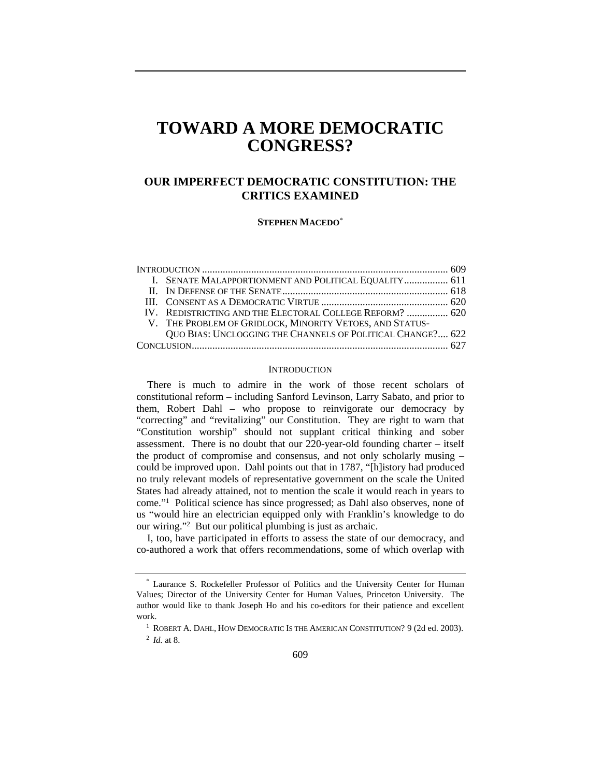# **TOWARD A MORE DEMOCRATIC CONGRESS?**

# **OUR IMPERFECT DEMOCRATIC CONSTITUTION: THE CRITICS EXAMINED**

**STEPHEN MACEDO**\*

|  | I. SENATE MALAPPORTIONMENT AND POLITICAL EQUALITY 611      |  |
|--|------------------------------------------------------------|--|
|  |                                                            |  |
|  |                                                            |  |
|  | IV. REDISTRICTING AND THE ELECTORAL COLLEGE REFORM?  620   |  |
|  | V. THE PROBLEM OF GRIDLOCK, MINORITY VETOES, AND STATUS-   |  |
|  | QUO BIAS: UNCLOGGING THE CHANNELS OF POLITICAL CHANGE? 622 |  |
|  |                                                            |  |

## **INTRODUCTION**

There is much to admire in the work of those recent scholars of constitutional reform – including Sanford Levinson, Larry Sabato, and prior to them, Robert Dahl – who propose to reinvigorate our democracy by "correcting" and "revitalizing" our Constitution. They are right to warn that "Constitution worship" should not supplant critical thinking and sober assessment. There is no doubt that our 220-year-old founding charter – itself the product of compromise and consensus, and not only scholarly musing – could be improved upon. Dahl points out that in 1787, "[h]istory had produced no truly relevant models of representative government on the scale the United States had already attained, not to mention the scale it would reach in years to come."1 Political science has since progressed; as Dahl also observes, none of us "would hire an electrician equipped only with Franklin's knowledge to do our wiring."2 But our political plumbing is just as archaic.

I, too, have participated in efforts to assess the state of our democracy, and co-authored a work that offers recommendations, some of which overlap with

<sup>\*</sup> Laurance S. Rockefeller Professor of Politics and the University Center for Human Values; Director of the University Center for Human Values, Princeton University. The author would like to thank Joseph Ho and his co-editors for their patience and excellent work. 1 ROBERT A. DAHL, HOW DEMOCRATIC IS THE AMERICAN CONSTITUTION? 9 (2d ed. 2003).

<sup>2</sup> *Id.* at 8.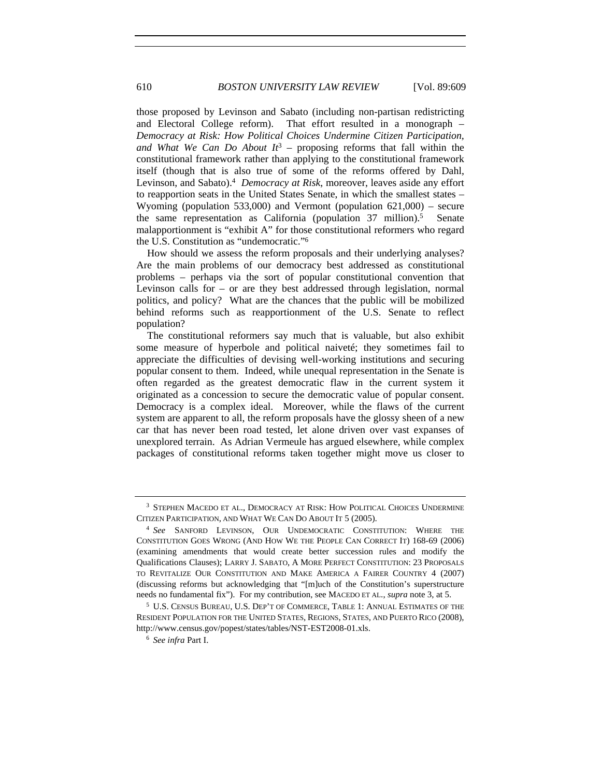those proposed by Levinson and Sabato (including non-partisan redistricting and Electoral College reform). That effort resulted in a monograph – *Democracy at Risk: How Political Choices Undermine Citizen Participation, and What We Can Do About It*3 – proposing reforms that fall within the constitutional framework rather than applying to the constitutional framework itself (though that is also true of some of the reforms offered by Dahl, Levinson, and Sabato).4 *Democracy at Risk*, moreover, leaves aside any effort to reapportion seats in the United States Senate, in which the smallest states – Wyoming (population 533,000) and Vermont (population 621,000) – secure the same representation as California (population  $37 \text{ million}$ ).<sup>5</sup> Senate malapportionment is "exhibit A" for those constitutional reformers who regard the U.S. Constitution as "undemocratic."6

How should we assess the reform proposals and their underlying analyses? Are the main problems of our democracy best addressed as constitutional problems – perhaps via the sort of popular constitutional convention that Levinson calls for – or are they best addressed through legislation, normal politics, and policy? What are the chances that the public will be mobilized behind reforms such as reapportionment of the U.S. Senate to reflect population?

The constitutional reformers say much that is valuable, but also exhibit some measure of hyperbole and political naiveté; they sometimes fail to appreciate the difficulties of devising well-working institutions and securing popular consent to them. Indeed, while unequal representation in the Senate is often regarded as the greatest democratic flaw in the current system it originated as a concession to secure the democratic value of popular consent. Democracy is a complex ideal. Moreover, while the flaws of the current system are apparent to all, the reform proposals have the glossy sheen of a new car that has never been road tested, let alone driven over vast expanses of unexplored terrain. As Adrian Vermeule has argued elsewhere, while complex packages of constitutional reforms taken together might move us closer to

<sup>3</sup> STEPHEN MACEDO ET AL., DEMOCRACY AT RISK: HOW POLITICAL CHOICES UNDERMINE CITIZEN PARTICIPATION, AND WHAT WE CAN DO ABOUT IT 5 (2005).

<sup>4</sup> *See* SANFORD LEVINSON, OUR UNDEMOCRATIC CONSTITUTION: WHERE THE CONSTITUTION GOES WRONG (AND HOW WE THE PEOPLE CAN CORRECT IT) 168-69 (2006) (examining amendments that would create better succession rules and modify the Qualifications Clauses); LARRY J. SABATO, A MORE PERFECT CONSTITUTION: 23 PROPOSALS TO REVITALIZE OUR CONSTITUTION AND MAKE AMERICA A FAIRER COUNTRY 4 (2007) (discussing reforms but acknowledging that "[m]uch of the Constitution's superstructure needs no fundamental fix"). For my contribution, see MACEDO ET AL., *supra* note 3, at 5.

<sup>5</sup> U.S. CENSUS BUREAU, U.S. DEP'T OF COMMERCE, TABLE 1: ANNUAL ESTIMATES OF THE RESIDENT POPULATION FOR THE UNITED STATES, REGIONS, STATES, AND PUERTO RICO (2008), http://www.census.gov/popest/states/tables/NST-EST2008-01.xls. 6 *See infra* Part I.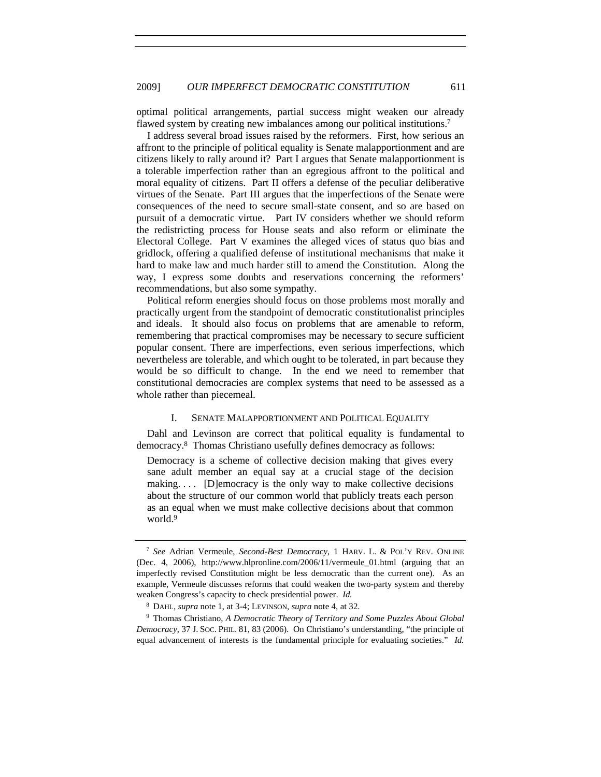optimal political arrangements, partial success might weaken our already flawed system by creating new imbalances among our political institutions.<sup>7</sup>

I address several broad issues raised by the reformers. First, how serious an affront to the principle of political equality is Senate malapportionment and are citizens likely to rally around it? Part I argues that Senate malapportionment is a tolerable imperfection rather than an egregious affront to the political and moral equality of citizens. Part II offers a defense of the peculiar deliberative virtues of the Senate. Part III argues that the imperfections of the Senate were consequences of the need to secure small-state consent, and so are based on pursuit of a democratic virtue. Part IV considers whether we should reform the redistricting process for House seats and also reform or eliminate the Electoral College. Part V examines the alleged vices of status quo bias and gridlock, offering a qualified defense of institutional mechanisms that make it hard to make law and much harder still to amend the Constitution. Along the way, I express some doubts and reservations concerning the reformers' recommendations, but also some sympathy.

Political reform energies should focus on those problems most morally and practically urgent from the standpoint of democratic constitutionalist principles and ideals. It should also focus on problems that are amenable to reform, remembering that practical compromises may be necessary to secure sufficient popular consent. There are imperfections, even serious imperfections, which nevertheless are tolerable, and which ought to be tolerated, in part because they would be so difficult to change. In the end we need to remember that constitutional democracies are complex systems that need to be assessed as a whole rather than piecemeal.

### I. SENATE MALAPPORTIONMENT AND POLITICAL EQUALITY

Dahl and Levinson are correct that political equality is fundamental to democracy.8 Thomas Christiano usefully defines democracy as follows:

Democracy is a scheme of collective decision making that gives every sane adult member an equal say at a crucial stage of the decision making.... [D]emocracy is the only way to make collective decisions about the structure of our common world that publicly treats each person as an equal when we must make collective decisions about that common world.<sup>9</sup>

<sup>7</sup> *See* Adrian Vermeule, *Second-Best Democracy*, 1 HARV. L. & POL'Y REV. ONLINE (Dec. 4, 2006), http://www.hlpronline.com/2006/11/vermeule\_01.html (arguing that an imperfectly revised Constitution might be less democratic than the current one). As an example, Vermeule discusses reforms that could weaken the two-party system and thereby weaken Congress's capacity to check presidential power. *Id.* 

<sup>8</sup> DAHL, *supra* note 1, at 3-4; LEVINSON, *supra* note 4, at 32.

<sup>9</sup> Thomas Christiano, *A Democratic Theory of Territory and Some Puzzles About Global Democracy*, 37 J. SOC. PHIL. 81, 83 (2006). On Christiano's understanding, "the principle of equal advancement of interests is the fundamental principle for evaluating societies." *Id.*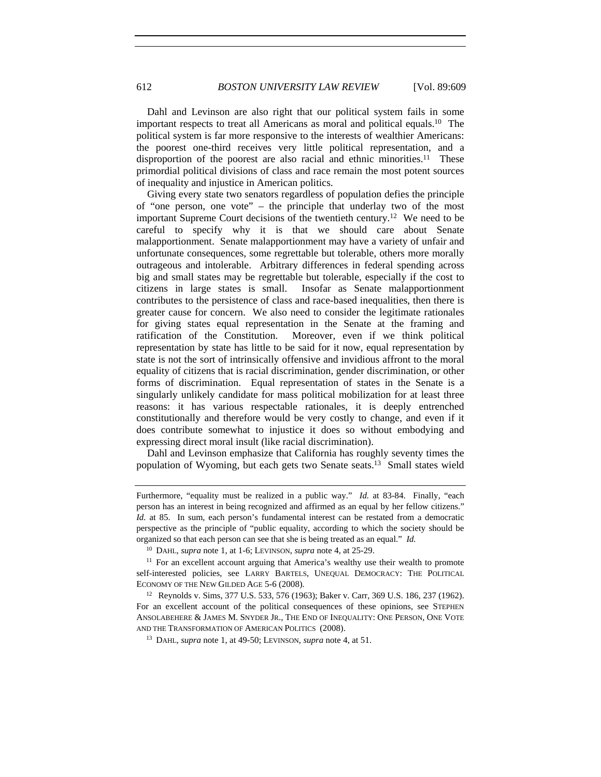Dahl and Levinson are also right that our political system fails in some important respects to treat all Americans as moral and political equals.10 The political system is far more responsive to the interests of wealthier Americans: the poorest one-third receives very little political representation, and a disproportion of the poorest are also racial and ethnic minorities.<sup>11</sup> These primordial political divisions of class and race remain the most potent sources of inequality and injustice in American politics.

Giving every state two senators regardless of population defies the principle of "one person, one vote" – the principle that underlay two of the most important Supreme Court decisions of the twentieth century.12 We need to be careful to specify why it is that we should care about Senate malapportionment. Senate malapportionment may have a variety of unfair and unfortunate consequences, some regrettable but tolerable, others more morally outrageous and intolerable. Arbitrary differences in federal spending across big and small states may be regrettable but tolerable, especially if the cost to citizens in large states is small. Insofar as Senate malapportionment contributes to the persistence of class and race-based inequalities, then there is greater cause for concern. We also need to consider the legitimate rationales for giving states equal representation in the Senate at the framing and ratification of the Constitution. Moreover, even if we think political representation by state has little to be said for it now, equal representation by state is not the sort of intrinsically offensive and invidious affront to the moral equality of citizens that is racial discrimination, gender discrimination, or other forms of discrimination. Equal representation of states in the Senate is a singularly unlikely candidate for mass political mobilization for at least three reasons: it has various respectable rationales, it is deeply entrenched constitutionally and therefore would be very costly to change, and even if it does contribute somewhat to injustice it does so without embodying and expressing direct moral insult (like racial discrimination).

Dahl and Levinson emphasize that California has roughly seventy times the population of Wyoming, but each gets two Senate seats.13 Small states wield

Furthermore, "equality must be realized in a public way." *Id.* at 83-84. Finally, "each person has an interest in being recognized and affirmed as an equal by her fellow citizens." *Id.* at 85. In sum, each person's fundamental interest can be restated from a democratic perspective as the principle of "public equality, according to which the society should be organized so that each person can see that she is being treated as an equal." *Id.*

<sup>10</sup> DAHL, *supra* note 1, at 1-6; LEVINSON, *supra* note 4, at 25-29.

<sup>&</sup>lt;sup>11</sup> For an excellent account arguing that America's wealthy use their wealth to promote self-interested policies, see LARRY BARTELS, UNEQUAL DEMOCRACY: THE POLITICAL ECONOMY OF THE NEW GILDED AGE 5-6 (2008).

<sup>12</sup> Reynolds v. Sims, 377 U.S. 533, 576 (1963); Baker v. Carr, 369 U.S. 186, 237 (1962). For an excellent account of the political consequences of these opinions, see STEPHEN ANSOLABEHERE & JAMES M. SNYDER JR., THE END OF INEQUALITY: ONE PERSON, ONE VOTE AND THE TRANSFORMATION OF AMERICAN POLITICS (2008).

<sup>13</sup> DAHL, *supra* note 1, at 49-50; LEVINSON, *supra* note 4, at 51.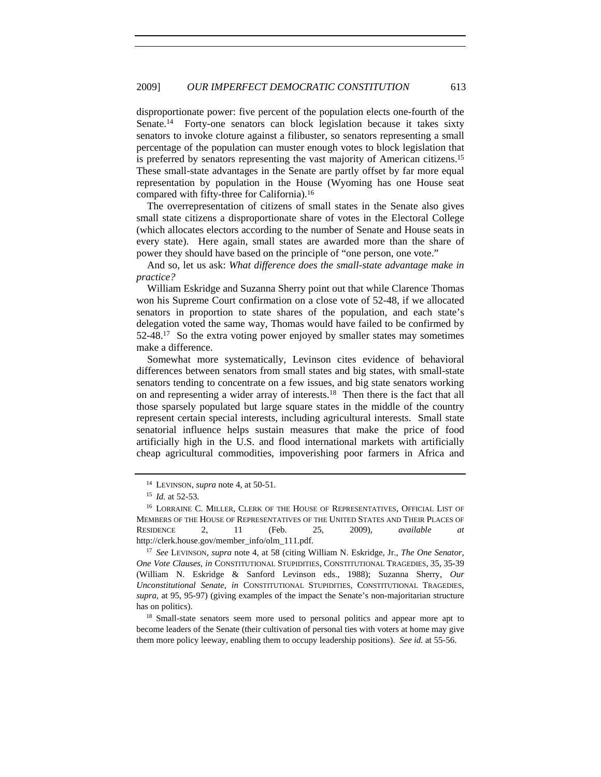disproportionate power: five percent of the population elects one-fourth of the Senate.14 Forty-one senators can block legislation because it takes sixty senators to invoke cloture against a filibuster, so senators representing a small percentage of the population can muster enough votes to block legislation that is preferred by senators representing the vast majority of American citizens.15 These small-state advantages in the Senate are partly offset by far more equal representation by population in the House (Wyoming has one House seat compared with fifty-three for California).16

The overrepresentation of citizens of small states in the Senate also gives small state citizens a disproportionate share of votes in the Electoral College (which allocates electors according to the number of Senate and House seats in every state). Here again, small states are awarded more than the share of power they should have based on the principle of "one person, one vote."

And so, let us ask: *What difference does the small-state advantage make in practice?* 

William Eskridge and Suzanna Sherry point out that while Clarence Thomas won his Supreme Court confirmation on a close vote of 52-48, if we allocated senators in proportion to state shares of the population, and each state's delegation voted the same way, Thomas would have failed to be confirmed by 52-48.17 So the extra voting power enjoyed by smaller states may sometimes make a difference.

Somewhat more systematically, Levinson cites evidence of behavioral differences between senators from small states and big states, with small-state senators tending to concentrate on a few issues, and big state senators working on and representing a wider array of interests.18 Then there is the fact that all those sparsely populated but large square states in the middle of the country represent certain special interests, including agricultural interests. Small state senatorial influence helps sustain measures that make the price of food artificially high in the U.S. and flood international markets with artificially cheap agricultural commodities, impoverishing poor farmers in Africa and

<sup>18</sup> Small-state senators seem more used to personal politics and appear more apt to become leaders of the Senate (their cultivation of personal ties with voters at home may give them more policy leeway, enabling them to occupy leadership positions). *See id.* at 55-56.

<sup>14</sup> LEVINSON, *supra* note 4, at 50-51.

<sup>15</sup> *Id.* at 52-53.

<sup>&</sup>lt;sup>16</sup> LORRAINE C. MILLER, CLERK OF THE HOUSE OF REPRESENTATIVES, OFFICIAL LIST OF MEMBERS OF THE HOUSE OF REPRESENTATIVES OF THE UNITED STATES AND THEIR PLACES OF RESIDENCE 2, 11 (Feb. 25, 2009), *available at* http://clerk.house.gov/member\_info/olm\_111.pdf. 17 *See* LEVINSON, *supra* note 4, at 58 (citing William N. Eskridge, Jr., *The One Senator,* 

*One Vote Clauses*, *in* CONSTITUTIONAL STUPIDITIES, CONSTITUTIONAL TRAGEDIES, 35, 35-39 (William N. Eskridge & Sanford Levinson eds., 1988); Suzanna Sherry, *Our Unconstitutional Senate*, *in* CONSTITUTIONAL STUPIDITIES, CONSTITUTIONAL TRAGEDIES, *supra*, at 95, 95-97) (giving examples of the impact the Senate's non-majoritarian structure has on politics).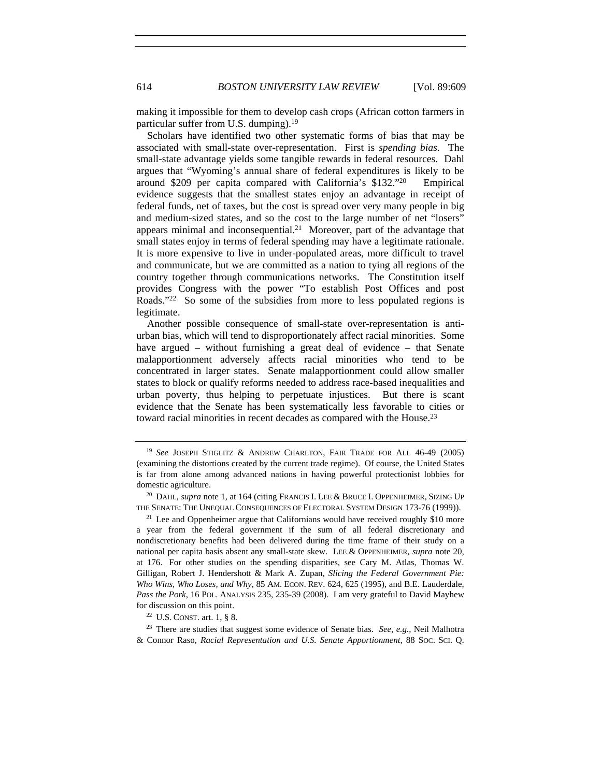614 *BOSTON UNIVERSITY LAW REVIEW* [Vol. 89:609

making it impossible for them to develop cash crops (African cotton farmers in particular suffer from U.S. dumping).19

Scholars have identified two other systematic forms of bias that may be associated with small-state over-representation. First is *spending bias*. The small-state advantage yields some tangible rewards in federal resources. Dahl argues that "Wyoming's annual share of federal expenditures is likely to be around \$209 per capita compared with California's \$132."20 Empirical evidence suggests that the smallest states enjoy an advantage in receipt of federal funds, net of taxes, but the cost is spread over very many people in big and medium-sized states, and so the cost to the large number of net "losers" appears minimal and inconsequential.21 Moreover, part of the advantage that small states enjoy in terms of federal spending may have a legitimate rationale. It is more expensive to live in under-populated areas, more difficult to travel and communicate, but we are committed as a nation to tying all regions of the country together through communications networks. The Constitution itself provides Congress with the power "To establish Post Offices and post Roads."22 So some of the subsidies from more to less populated regions is legitimate.

Another possible consequence of small-state over-representation is antiurban bias, which will tend to disproportionately affect racial minorities. Some have argued – without furnishing a great deal of evidence – that Senate malapportionment adversely affects racial minorities who tend to be concentrated in larger states. Senate malapportionment could allow smaller states to block or qualify reforms needed to address race-based inequalities and urban poverty, thus helping to perpetuate injustices. But there is scant evidence that the Senate has been systematically less favorable to cities or toward racial minorities in recent decades as compared with the House.23

<sup>19</sup> *See* JOSEPH STIGLITZ & ANDREW CHARLTON, FAIR TRADE FOR ALL 46-49 (2005) (examining the distortions created by the current trade regime). Of course, the United States is far from alone among advanced nations in having powerful protectionist lobbies for domestic agriculture.<br><sup>20</sup> DAHL, *supra* note 1, at 164 (citing FRANCIS I. LEE & BRUCE I. OPPENHEIMER, SIZING UP

THE SENATE: THE UNEQUAL CONSEQUENCES OF ELECTORAL SYSTEM DESIGN 173-76 (1999)).

 $21$  Lee and Oppenheimer argue that Californians would have received roughly \$10 more a year from the federal government if the sum of all federal discretionary and nondiscretionary benefits had been delivered during the time frame of their study on a national per capita basis absent any small-state skew. LEE & OPPENHEIMER, *supra* note 20, at 176. For other studies on the spending disparities, see Cary M. Atlas, Thomas W. Gilligan, Robert J. Hendershott & Mark A. Zupan, *Slicing the Federal Government Pie: Who Wins, Who Loses, and Why*, 85 AM. ECON. REV. 624, 625 (1995), and B.E. Lauderdale, *Pass the Pork*, 16 POL. ANALYSIS 235, 235-39 (2008). I am very grateful to David Mayhew for discussion on this point.<br><sup>22</sup> U.S. CONST. art. 1, § 8.

<sup>23</sup> There are studies that suggest some evidence of Senate bias. *See, e.g.*, Neil Malhotra & Connor Raso, *Racial Representation and U.S. Senate Apportionment*, 88 SOC. SCI. Q.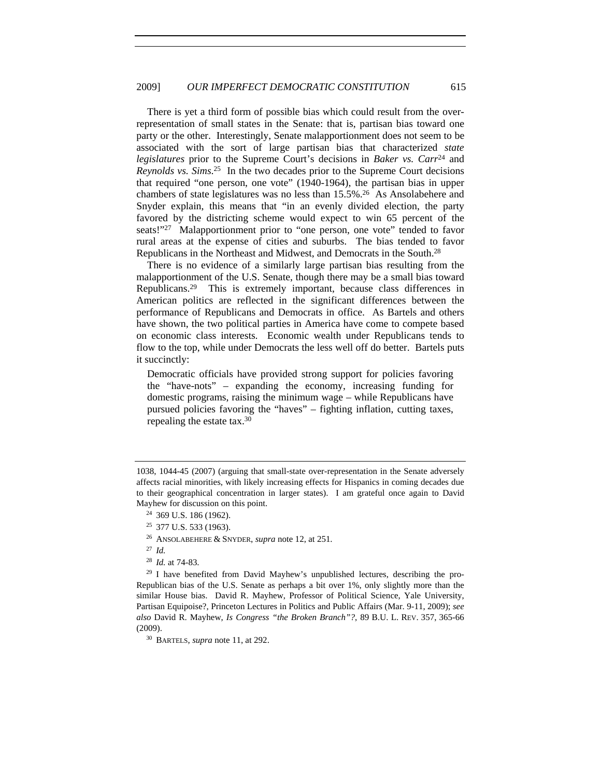There is yet a third form of possible bias which could result from the overrepresentation of small states in the Senate: that is, partisan bias toward one party or the other. Interestingly, Senate malapportionment does not seem to be associated with the sort of large partisan bias that characterized *state legislatures* prior to the Supreme Court's decisions in *Baker vs. Carr*24 and *Reynolds vs. Sims*. 25 In the two decades prior to the Supreme Court decisions that required "one person, one vote" (1940-1964), the partisan bias in upper chambers of state legislatures was no less than 15.5%.26 As Ansolabehere and Snyder explain, this means that "in an evenly divided election, the party favored by the districting scheme would expect to win 65 percent of the seats!"<sup>27</sup> Malapportionment prior to "one person, one vote" tended to favor rural areas at the expense of cities and suburbs. The bias tended to favor Republicans in the Northeast and Midwest, and Democrats in the South.28

There is no evidence of a similarly large partisan bias resulting from the malapportionment of the U.S. Senate, though there may be a small bias toward Republicans.29 This is extremely important, because class differences in American politics are reflected in the significant differences between the performance of Republicans and Democrats in office. As Bartels and others have shown, the two political parties in America have come to compete based on economic class interests. Economic wealth under Republicans tends to flow to the top, while under Democrats the less well off do better. Bartels puts it succinctly:

Democratic officials have provided strong support for policies favoring the "have-nots" – expanding the economy, increasing funding for domestic programs, raising the minimum wage – while Republicans have pursued policies favoring the "haves" – fighting inflation, cutting taxes, repealing the estate tax.30

<sup>28</sup> *Id.* at 74-83.

<sup>29</sup> I have benefited from David Mayhew's unpublished lectures, describing the pro-Republican bias of the U.S. Senate as perhaps a bit over 1%, only slightly more than the similar House bias. David R. Mayhew, Professor of Political Science, Yale University, Partisan Equipoise?, Princeton Lectures in Politics and Public Affairs (Mar. 9-11, 2009); *see also* David R. Mayhew, *Is Congress "the Broken Branch"?*, 89 B.U. L. REV. 357, 365-66 (2009).

<sup>30</sup> BARTELS, *supra* note 11, at 292.

<sup>1038, 1044-45 (2007) (</sup>arguing that small-state over-representation in the Senate adversely affects racial minorities, with likely increasing effects for Hispanics in coming decades due to their geographical concentration in larger states). I am grateful once again to David Mayhew for discussion on this point.

<sup>24</sup> 369 U.S. 186 (1962).

<sup>25</sup> 377 U.S. 533 (1963).

<sup>26</sup> ANSOLABEHERE & SNYDER, *supra* note 12, at 251.

<sup>27</sup> *Id.*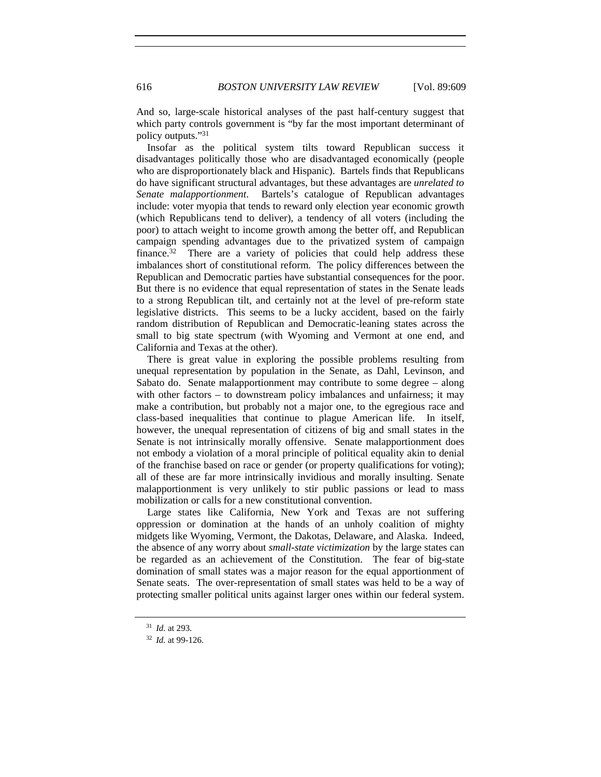And so, large-scale historical analyses of the past half-century suggest that which party controls government is "by far the most important determinant of policy outputs."31

Insofar as the political system tilts toward Republican success it disadvantages politically those who are disadvantaged economically (people who are disproportionately black and Hispanic). Bartels finds that Republicans do have significant structural advantages, but these advantages are *unrelated to Senate malapportionment*. Bartels's catalogue of Republican advantages include: voter myopia that tends to reward only election year economic growth (which Republicans tend to deliver), a tendency of all voters (including the poor) to attach weight to income growth among the better off, and Republican campaign spending advantages due to the privatized system of campaign finance.<sup>32</sup> There are a variety of policies that could help address these imbalances short of constitutional reform. The policy differences between the Republican and Democratic parties have substantial consequences for the poor. But there is no evidence that equal representation of states in the Senate leads to a strong Republican tilt, and certainly not at the level of pre-reform state legislative districts. This seems to be a lucky accident, based on the fairly random distribution of Republican and Democratic-leaning states across the small to big state spectrum (with Wyoming and Vermont at one end, and California and Texas at the other).

There is great value in exploring the possible problems resulting from unequal representation by population in the Senate, as Dahl, Levinson, and Sabato do. Senate malapportionment may contribute to some degree – along with other factors – to downstream policy imbalances and unfairness; it may make a contribution, but probably not a major one, to the egregious race and class-based inequalities that continue to plague American life. In itself, however, the unequal representation of citizens of big and small states in the Senate is not intrinsically morally offensive. Senate malapportionment does not embody a violation of a moral principle of political equality akin to denial of the franchise based on race or gender (or property qualifications for voting); all of these are far more intrinsically invidious and morally insulting. Senate malapportionment is very unlikely to stir public passions or lead to mass mobilization or calls for a new constitutional convention.

Large states like California, New York and Texas are not suffering oppression or domination at the hands of an unholy coalition of mighty midgets like Wyoming, Vermont, the Dakotas, Delaware, and Alaska. Indeed, the absence of any worry about *small-state victimization* by the large states can be regarded as an achievement of the Constitution. The fear of big-state domination of small states was a major reason for the equal apportionment of Senate seats. The over-representation of small states was held to be a way of protecting smaller political units against larger ones within our federal system.

<sup>31</sup> *Id.* at 293.

<sup>32</sup> *Id.* at 99-126.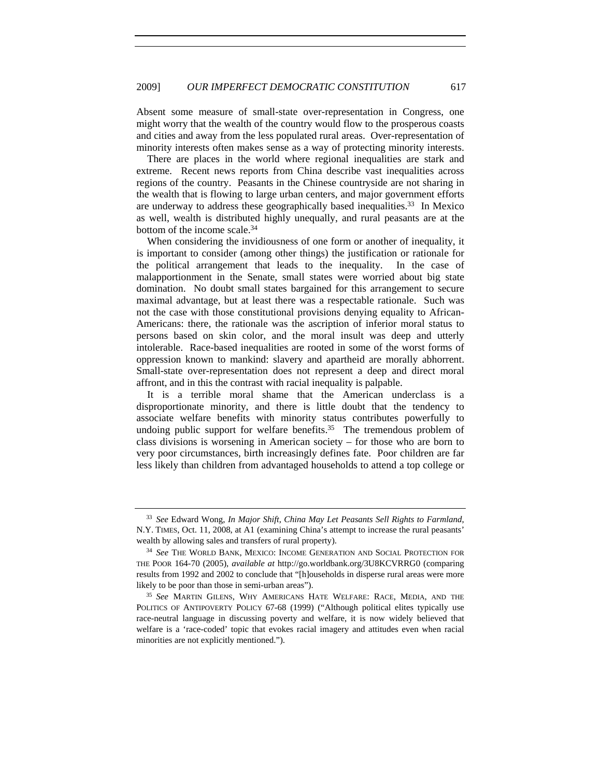Absent some measure of small-state over-representation in Congress, one might worry that the wealth of the country would flow to the prosperous coasts and cities and away from the less populated rural areas. Over-representation of minority interests often makes sense as a way of protecting minority interests.

 There are places in the world where regional inequalities are stark and extreme. Recent news reports from China describe vast inequalities across regions of the country. Peasants in the Chinese countryside are not sharing in the wealth that is flowing to large urban centers, and major government efforts are underway to address these geographically based inequalities.33 In Mexico as well, wealth is distributed highly unequally, and rural peasants are at the bottom of the income scale.34

When considering the invidiousness of one form or another of inequality, it is important to consider (among other things) the justification or rationale for the political arrangement that leads to the inequality. In the case of malapportionment in the Senate, small states were worried about big state domination. No doubt small states bargained for this arrangement to secure maximal advantage, but at least there was a respectable rationale. Such was not the case with those constitutional provisions denying equality to African-Americans: there, the rationale was the ascription of inferior moral status to persons based on skin color, and the moral insult was deep and utterly intolerable. Race-based inequalities are rooted in some of the worst forms of oppression known to mankind: slavery and apartheid are morally abhorrent. Small-state over-representation does not represent a deep and direct moral affront, and in this the contrast with racial inequality is palpable.

It is a terrible moral shame that the American underclass is a disproportionate minority, and there is little doubt that the tendency to associate welfare benefits with minority status contributes powerfully to undoing public support for welfare benefits. $35$  The tremendous problem of class divisions is worsening in American society – for those who are born to very poor circumstances, birth increasingly defines fate. Poor children are far less likely than children from advantaged households to attend a top college or

<sup>33</sup> *See* Edward Wong, *In Major Shift, China May Let Peasants Sell Rights to Farmland*, N.Y. TIMES, Oct. 11, 2008, at A1 (examining China's attempt to increase the rural peasants' wealth by allowing sales and transfers of rural property).<br><sup>34</sup> *See* THE WORLD BANK, MEXICO: INCOME GENERATION AND SOCIAL PROTECTION FOR

THE POOR 164-70 (2005), *available at* http://go.worldbank.org/3U8KCVRRG0 (comparing results from 1992 and 2002 to conclude that "[h]ouseholds in disperse rural areas were more likely to be poor than those in semi-urban areas"). 35 *See* MARTIN GILENS, WHY AMERICANS HATE WELFARE: RACE, MEDIA, AND THE

POLITICS OF ANTIPOVERTY POLICY 67-68 (1999) ("Although political elites typically use race-neutral language in discussing poverty and welfare, it is now widely believed that welfare is a 'race-coded' topic that evokes racial imagery and attitudes even when racial minorities are not explicitly mentioned.").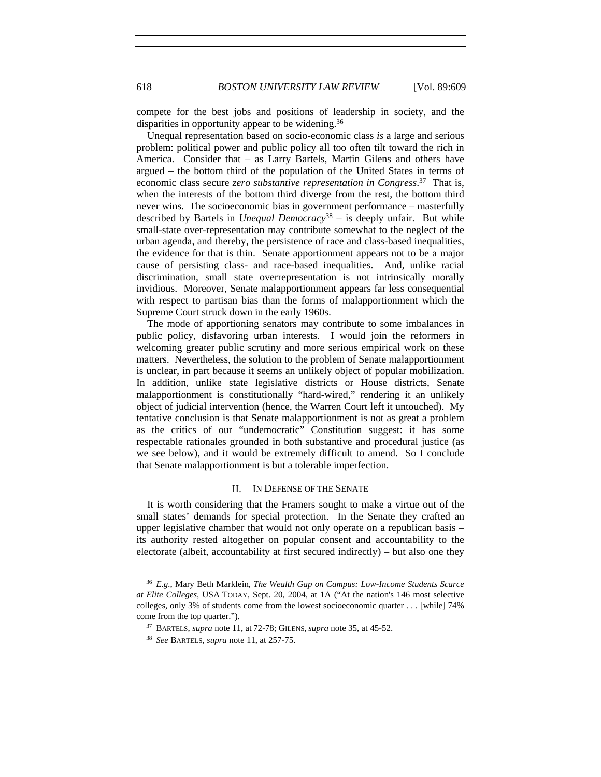compete for the best jobs and positions of leadership in society, and the disparities in opportunity appear to be widening.36

Unequal representation based on socio-economic class *is* a large and serious problem: political power and public policy all too often tilt toward the rich in America. Consider that – as Larry Bartels, Martin Gilens and others have argued – the bottom third of the population of the United States in terms of economic class secure *zero substantive representation in Congress*. 37 That is, when the interests of the bottom third diverge from the rest, the bottom third never wins. The socioeconomic bias in government performance – masterfully described by Bartels in *Unequal Democracy*38 – is deeply unfair. But while small-state over-representation may contribute somewhat to the neglect of the urban agenda, and thereby, the persistence of race and class-based inequalities, the evidence for that is thin. Senate apportionment appears not to be a major cause of persisting class- and race-based inequalities. And, unlike racial discrimination, small state overrepresentation is not intrinsically morally invidious. Moreover, Senate malapportionment appears far less consequential with respect to partisan bias than the forms of malapportionment which the Supreme Court struck down in the early 1960s.

The mode of apportioning senators may contribute to some imbalances in public policy, disfavoring urban interests. I would join the reformers in welcoming greater public scrutiny and more serious empirical work on these matters. Nevertheless, the solution to the problem of Senate malapportionment is unclear, in part because it seems an unlikely object of popular mobilization. In addition, unlike state legislative districts or House districts, Senate malapportionment is constitutionally "hard-wired," rendering it an unlikely object of judicial intervention (hence, the Warren Court left it untouched). My tentative conclusion is that Senate malapportionment is not as great a problem as the critics of our "undemocratic" Constitution suggest: it has some respectable rationales grounded in both substantive and procedural justice (as we see below), and it would be extremely difficult to amend. So I conclude that Senate malapportionment is but a tolerable imperfection.

#### II. IN DEFENSE OF THE SENATE

It is worth considering that the Framers sought to make a virtue out of the small states' demands for special protection. In the Senate they crafted an upper legislative chamber that would not only operate on a republican basis – its authority rested altogether on popular consent and accountability to the electorate (albeit, accountability at first secured indirectly) – but also one they

<sup>36</sup> *E.g.*, Mary Beth Marklein, *The Wealth Gap on Campus: Low-Income Students Scarce at Elite Colleges*, USA TODAY, Sept. 20, 2004, at 1A ("At the nation's 146 most selective colleges, only 3% of students come from the lowest socioeconomic quarter . . . [while] 74% come from the top quarter."). 37 BARTELS, *supra* note 11, at 72-78; GILENS, *supra* note 35, at 45-52.

<sup>38</sup> *See* BARTELS, *supra* note 11, at 257-75.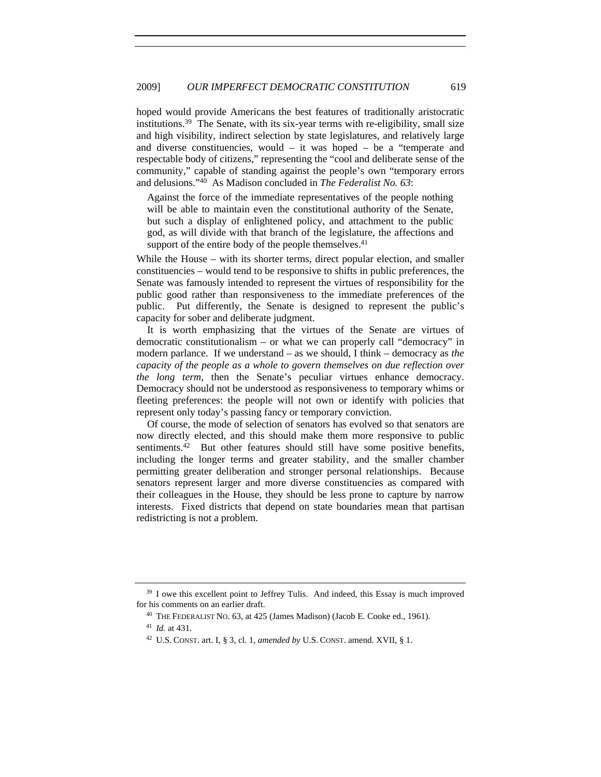hoped would provide Americans the best features of traditionally aristocratic institutions.39 The Senate, with its six-year terms with re-eligibility, small size and high visibility, indirect selection by state legislatures, and relatively large and diverse constituencies, would  $-$  it was hoped  $-$  be a "temperate and respectable body of citizens," representing the "cool and deliberate sense of the community," capable of standing against the people's own "temporary errors and delusions."40 As Madison concluded in *The Federalist No. 63*:

Against the force of the immediate representatives of the people nothing will be able to maintain even the constitutional authority of the Senate, but such a display of enlightened policy, and attachment to the public god, as will divide with that branch of the legislature, the affections and support of the entire body of the people themselves. $41$ 

While the House – with its shorter terms, direct popular election, and smaller constituencies – would tend to be responsive to shifts in public preferences, the Senate was famously intended to represent the virtues of responsibility for the public good rather than responsiveness to the immediate preferences of the public. Put differently, the Senate is designed to represent the public's capacity for sober and deliberate judgment.

It is worth emphasizing that the virtues of the Senate are virtues of democratic constitutionalism – or what we can properly call "democracy" in modern parlance. If we understand – as we should, I think – democracy as *the capacity of the people as a whole to govern themselves on due reflection over the long term*, then the Senate's peculiar virtues enhance democracy. Democracy should not be understood as responsiveness to temporary whims or fleeting preferences: the people will not own or identify with policies that represent only today's passing fancy or temporary conviction.

Of course, the mode of selection of senators has evolved so that senators are now directly elected, and this should make them more responsive to public sentiments.<sup>42</sup> But other features should still have some positive benefits, including the longer terms and greater stability, and the smaller chamber permitting greater deliberation and stronger personal relationships. Because senators represent larger and more diverse constituencies as compared with their colleagues in the House, they should be less prone to capture by narrow interests. Fixed districts that depend on state boundaries mean that partisan redistricting is not a problem.

<sup>&</sup>lt;sup>39</sup> I owe this excellent point to Jeffrey Tulis. And indeed, this Essay is much improved for his comments on an earlier draft.<br><sup>40</sup> THE FEDERALIST NO. 63, at 425 (James Madison) (Jacob E. Cooke ed., 1961).

<sup>41</sup> *Id.* at 431.

<sup>42</sup> U.S. CONST. art. I, § 3, cl. 1, *amended by* U.S. CONST. amend. XVII, § 1.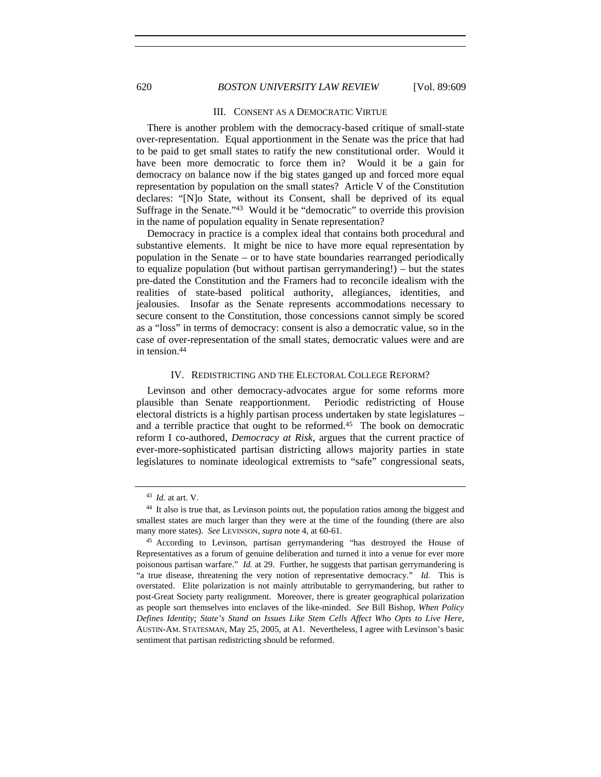## 620 *BOSTON UNIVERSITY LAW REVIEW* [Vol. 89:609

#### III. CONSENT AS A DEMOCRATIC VIRTUE

There is another problem with the democracy-based critique of small-state over-representation. Equal apportionment in the Senate was the price that had to be paid to get small states to ratify the new constitutional order. Would it have been more democratic to force them in? Would it be a gain for democracy on balance now if the big states ganged up and forced more equal representation by population on the small states? Article V of the Constitution declares: "[N]o State, without its Consent, shall be deprived of its equal Suffrage in the Senate."43 Would it be "democratic" to override this provision in the name of population equality in Senate representation?

Democracy in practice is a complex ideal that contains both procedural and substantive elements. It might be nice to have more equal representation by population in the Senate – or to have state boundaries rearranged periodically to equalize population (but without partisan gerrymandering!) – but the states pre-dated the Constitution and the Framers had to reconcile idealism with the realities of state-based political authority, allegiances, identities, and jealousies. Insofar as the Senate represents accommodations necessary to secure consent to the Constitution, those concessions cannot simply be scored as a "loss" in terms of democracy: consent is also a democratic value, so in the case of over-representation of the small states, democratic values were and are in tension.44

#### IV. REDISTRICTING AND THE ELECTORAL COLLEGE REFORM?

Levinson and other democracy-advocates argue for some reforms more plausible than Senate reapportionment. Periodic redistricting of House electoral districts is a highly partisan process undertaken by state legislatures – and a terrible practice that ought to be reformed.<sup>45</sup> The book on democratic reform I co-authored, *Democracy at Risk*, argues that the current practice of ever-more-sophisticated partisan districting allows majority parties in state legislatures to nominate ideological extremists to "safe" congressional seats,

<sup>43</sup> *Id.* at art. V.

<sup>&</sup>lt;sup>44</sup> It also is true that, as Levinson points out, the population ratios among the biggest and smallest states are much larger than they were at the time of the founding (there are also many more states). *See* LEVINSON, *supra* note 4, at 60-61.

<sup>45</sup> According to Levinson, partisan gerrymandering "has destroyed the House of Representatives as a forum of genuine deliberation and turned it into a venue for ever more poisonous partisan warfare." *Id.* at 29. Further, he suggests that partisan gerrymandering is "a true disease, threatening the very notion of representative democracy." *Id.* This is overstated. Elite polarization is not mainly attributable to gerrymandering, but rather to post-Great Society party realignment. Moreover, there is greater geographical polarization as people sort themselves into enclaves of the like-minded. *See* Bill Bishop, *When Policy Defines Identity; State's Stand on Issues Like Stem Cells Affect Who Opts to Live Here*, AUSTIN-AM. STATESMAN, May 25, 2005, at A1. Nevertheless, I agree with Levinson's basic sentiment that partisan redistricting should be reformed.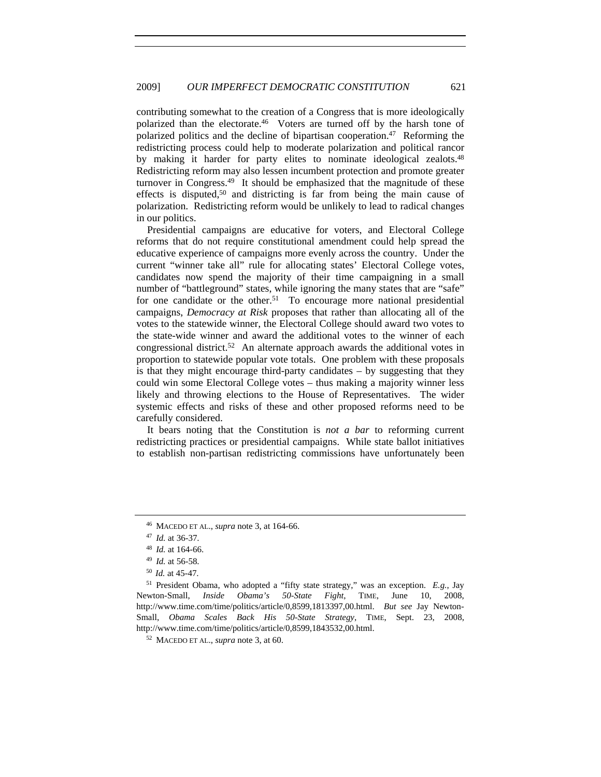contributing somewhat to the creation of a Congress that is more ideologically polarized than the electorate.46 Voters are turned off by the harsh tone of polarized politics and the decline of bipartisan cooperation.<sup>47</sup> Reforming the redistricting process could help to moderate polarization and political rancor by making it harder for party elites to nominate ideological zealots.<sup>48</sup> Redistricting reform may also lessen incumbent protection and promote greater turnover in Congress.49 It should be emphasized that the magnitude of these effects is disputed,<sup>50</sup> and districting is far from being the main cause of polarization. Redistricting reform would be unlikely to lead to radical changes in our politics.

Presidential campaigns are educative for voters, and Electoral College reforms that do not require constitutional amendment could help spread the educative experience of campaigns more evenly across the country. Under the current "winner take all" rule for allocating states' Electoral College votes, candidates now spend the majority of their time campaigning in a small number of "battleground" states, while ignoring the many states that are "safe" for one candidate or the other.<sup>51</sup> To encourage more national presidential campaigns, *Democracy at Risk* proposes that rather than allocating all of the votes to the statewide winner, the Electoral College should award two votes to the state-wide winner and award the additional votes to the winner of each congressional district.52 An alternate approach awards the additional votes in proportion to statewide popular vote totals. One problem with these proposals is that they might encourage third-party candidates – by suggesting that they could win some Electoral College votes – thus making a majority winner less likely and throwing elections to the House of Representatives. The wider systemic effects and risks of these and other proposed reforms need to be carefully considered.

It bears noting that the Constitution is *not a bar* to reforming current redistricting practices or presidential campaigns. While state ballot initiatives to establish non-partisan redistricting commissions have unfortunately been

<sup>46</sup> MACEDO ET AL., *supra* note 3, at 164-66. 47 *Id.* at 36-37.

<sup>48</sup> *Id.* at 164-66. 49 *Id.* at 56-58.

<sup>50</sup> *Id.* at 45-47.

<sup>51</sup> President Obama, who adopted a "fifty state strategy," was an exception. *E.g.*, Jay Newton-Small, *Inside Obama's 50-State Fight*, TIME, June 10, 2008, http://www.time.com/time/politics/article/0,8599,1813397,00.html. *But see* Jay Newton-Small, *Obama Scales Back His 50-State Strategy*, TIME, Sept. 23, 2008, http://www.time.com/time/politics/article/0,8599,1843532,00.html. 52 MACEDO ET AL., *supra* note 3, at 60.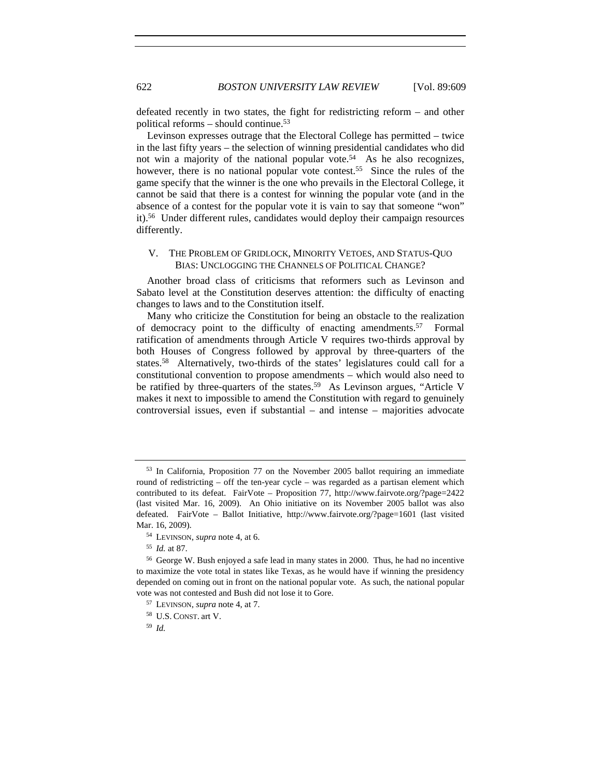defeated recently in two states, the fight for redistricting reform – and other political reforms – should continue.53

Levinson expresses outrage that the Electoral College has permitted – twice in the last fifty years – the selection of winning presidential candidates who did not win a majority of the national popular vote.<sup>54</sup> As he also recognizes, however, there is no national popular vote contest.<sup>55</sup> Since the rules of the game specify that the winner is the one who prevails in the Electoral College, it cannot be said that there is a contest for winning the popular vote (and in the absence of a contest for the popular vote it is vain to say that someone "won" it).56 Under different rules, candidates would deploy their campaign resources differently.

# V. THE PROBLEM OF GRIDLOCK, MINORITY VETOES, AND STATUS-QUO BIAS: UNCLOGGING THE CHANNELS OF POLITICAL CHANGE?

Another broad class of criticisms that reformers such as Levinson and Sabato level at the Constitution deserves attention: the difficulty of enacting changes to laws and to the Constitution itself.

Many who criticize the Constitution for being an obstacle to the realization of democracy point to the difficulty of enacting amendments.57 Formal ratification of amendments through Article V requires two-thirds approval by both Houses of Congress followed by approval by three-quarters of the states.58 Alternatively, two-thirds of the states' legislatures could call for a constitutional convention to propose amendments – which would also need to be ratified by three-quarters of the states.<sup>59</sup> As Levinson argues, "Article V makes it next to impossible to amend the Constitution with regard to genuinely controversial issues, even if substantial – and intense – majorities advocate

<sup>53</sup> In California, Proposition 77 on the November 2005 ballot requiring an immediate round of redistricting – off the ten-year cycle – was regarded as a partisan element which contributed to its defeat. FairVote – Proposition 77, http://www.fairvote.org/?page=2422 (last visited Mar. 16, 2009). An Ohio initiative on its November 2005 ballot was also defeated. FairVote – Ballot Initiative, http://www.fairvote.org/?page=1601 (last visited Mar. 16, 2009). 54 LEVINSON, *supra* note 4, at 6.

<sup>55</sup> *Id.* at 87.

<sup>56</sup> George W. Bush enjoyed a safe lead in many states in 2000. Thus, he had no incentive to maximize the vote total in states like Texas, as he would have if winning the presidency depended on coming out in front on the national popular vote. As such, the national popular vote was not contested and Bush did not lose it to Gore. 57 LEVINSON, *supra* note 4, at 7.

<sup>58</sup> U.S. CONST. art V.

<sup>59</sup> *Id.*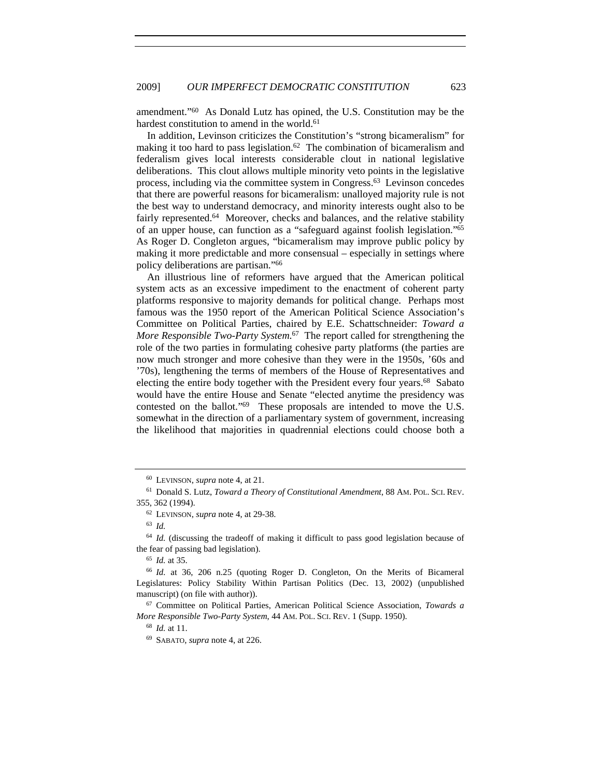amendment."60 As Donald Lutz has opined, the U.S. Constitution may be the hardest constitution to amend in the world.<sup>61</sup>

In addition, Levinson criticizes the Constitution's "strong bicameralism" for making it too hard to pass legislation.<sup>62</sup> The combination of bicameralism and federalism gives local interests considerable clout in national legislative deliberations. This clout allows multiple minority veto points in the legislative process, including via the committee system in Congress.63 Levinson concedes that there are powerful reasons for bicameralism: unalloyed majority rule is not the best way to understand democracy, and minority interests ought also to be fairly represented.<sup>64</sup> Moreover, checks and balances, and the relative stability of an upper house, can function as a "safeguard against foolish legislation."65 As Roger D. Congleton argues, "bicameralism may improve public policy by making it more predictable and more consensual – especially in settings where policy deliberations are partisan."66

An illustrious line of reformers have argued that the American political system acts as an excessive impediment to the enactment of coherent party platforms responsive to majority demands for political change. Perhaps most famous was the 1950 report of the American Political Science Association's Committee on Political Parties, chaired by E.E. Schattschneider: *Toward a More Responsible Two-Party System*. 67 The report called for strengthening the role of the two parties in formulating cohesive party platforms (the parties are now much stronger and more cohesive than they were in the 1950s, '60s and '70s), lengthening the terms of members of the House of Representatives and electing the entire body together with the President every four years.<sup>68</sup> Sabato would have the entire House and Senate "elected anytime the presidency was contested on the ballot."69 These proposals are intended to move the U.S. somewhat in the direction of a parliamentary system of government, increasing the likelihood that majorities in quadrennial elections could choose both a

<sup>60</sup> LEVINSON, *supra* note 4, at 21.

<sup>61</sup> Donald S. Lutz, *Toward a Theory of Constitutional Amendment*, 88 AM. POL. SCI. REV. 355, 362 (1994).

<sup>62</sup> LEVINSON, *supra* note 4, at 29-38. 63 *Id.*

<sup>&</sup>lt;sup>64</sup> *Id.* (discussing the tradeoff of making it difficult to pass good legislation because of the fear of passing bad legislation). 65 *Id.* at 35.

<sup>66</sup> *Id.* at 36, 206 n.25 (quoting Roger D. Congleton, On the Merits of Bicameral Legislatures: Policy Stability Within Partisan Politics (Dec. 13, 2002) (unpublished manuscript) (on file with author)).<br><sup>67</sup> Committee on Political Parties, American Political Science Association, *Towards a* 

*More Responsible Two-Party System*, 44 AM. POL. SCI. REV. 1 (Supp. 1950).

<sup>68</sup> *Id.* at 11.

<sup>69</sup> SABATO, *supra* note 4, at 226.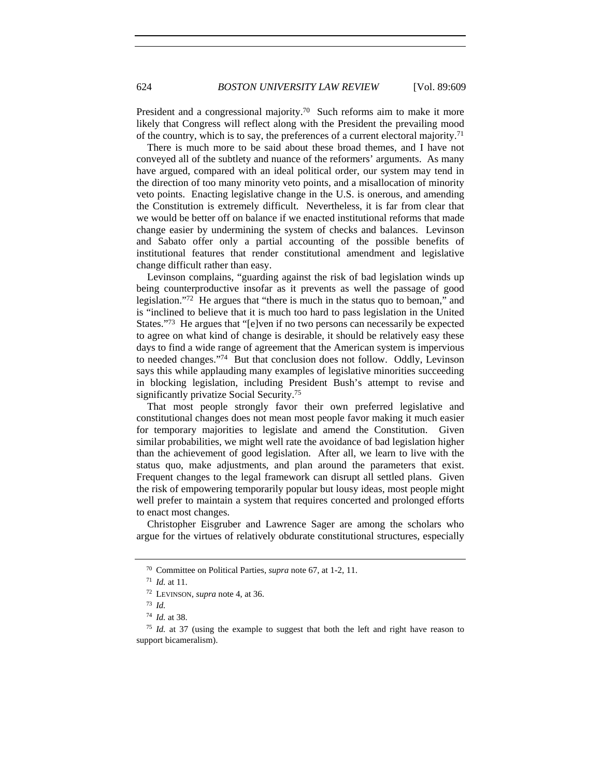President and a congressional majority.<sup>70</sup> Such reforms aim to make it more likely that Congress will reflect along with the President the prevailing mood of the country, which is to say, the preferences of a current electoral majority.71

There is much more to be said about these broad themes, and I have not conveyed all of the subtlety and nuance of the reformers' arguments. As many have argued, compared with an ideal political order, our system may tend in the direction of too many minority veto points, and a misallocation of minority veto points. Enacting legislative change in the U.S. is onerous, and amending the Constitution is extremely difficult. Nevertheless, it is far from clear that we would be better off on balance if we enacted institutional reforms that made change easier by undermining the system of checks and balances. Levinson and Sabato offer only a partial accounting of the possible benefits of institutional features that render constitutional amendment and legislative change difficult rather than easy.

Levinson complains, "guarding against the risk of bad legislation winds up being counterproductive insofar as it prevents as well the passage of good legislation."72 He argues that "there is much in the status quo to bemoan," and is "inclined to believe that it is much too hard to pass legislation in the United States."73 He argues that "[e]ven if no two persons can necessarily be expected to agree on what kind of change is desirable, it should be relatively easy these days to find a wide range of agreement that the American system is impervious to needed changes."74 But that conclusion does not follow. Oddly, Levinson says this while applauding many examples of legislative minorities succeeding in blocking legislation, including President Bush's attempt to revise and significantly privatize Social Security.75

That most people strongly favor their own preferred legislative and constitutional changes does not mean most people favor making it much easier for temporary majorities to legislate and amend the Constitution. Given similar probabilities, we might well rate the avoidance of bad legislation higher than the achievement of good legislation. After all, we learn to live with the status quo, make adjustments, and plan around the parameters that exist. Frequent changes to the legal framework can disrupt all settled plans. Given the risk of empowering temporarily popular but lousy ideas, most people might well prefer to maintain a system that requires concerted and prolonged efforts to enact most changes.

Christopher Eisgruber and Lawrence Sager are among the scholars who argue for the virtues of relatively obdurate constitutional structures, especially

<sup>70</sup> Committee on Political Parties, *supra* note 67, at 1-2, 11.

<sup>71</sup> *Id.* at 11.

<sup>72</sup> LEVINSON, *supra* note 4, at 36.

<sup>73</sup> *Id.*

<sup>74</sup> *Id.* at 38.

<sup>75</sup> *Id.* at 37 (using the example to suggest that both the left and right have reason to support bicameralism).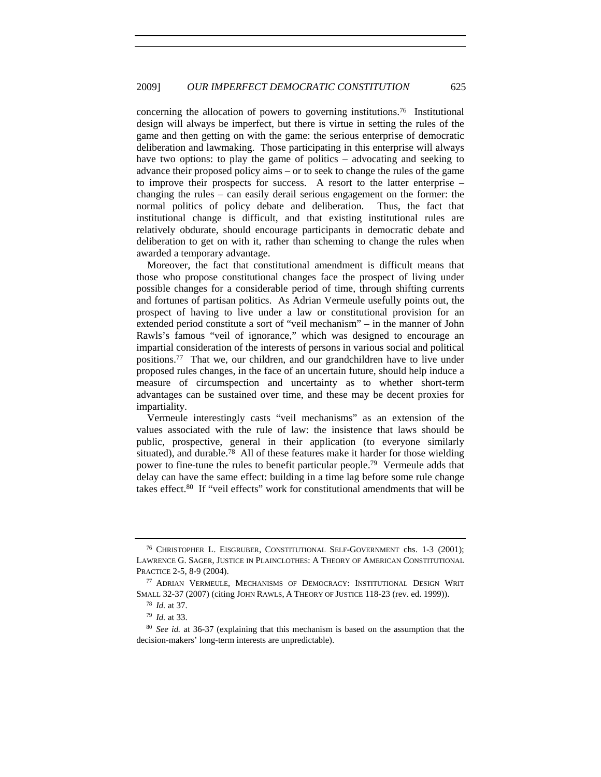concerning the allocation of powers to governing institutions.76 Institutional design will always be imperfect, but there is virtue in setting the rules of the game and then getting on with the game: the serious enterprise of democratic deliberation and lawmaking. Those participating in this enterprise will always have two options: to play the game of politics – advocating and seeking to advance their proposed policy aims – or to seek to change the rules of the game to improve their prospects for success. A resort to the latter enterprise – changing the rules – can easily derail serious engagement on the former: the normal politics of policy debate and deliberation. Thus, the fact that institutional change is difficult, and that existing institutional rules are relatively obdurate, should encourage participants in democratic debate and deliberation to get on with it, rather than scheming to change the rules when awarded a temporary advantage.

Moreover, the fact that constitutional amendment is difficult means that those who propose constitutional changes face the prospect of living under possible changes for a considerable period of time, through shifting currents and fortunes of partisan politics. As Adrian Vermeule usefully points out, the prospect of having to live under a law or constitutional provision for an extended period constitute a sort of "veil mechanism" – in the manner of John Rawls's famous "veil of ignorance," which was designed to encourage an impartial consideration of the interests of persons in various social and political positions.77 That we, our children, and our grandchildren have to live under proposed rules changes, in the face of an uncertain future, should help induce a measure of circumspection and uncertainty as to whether short-term advantages can be sustained over time, and these may be decent proxies for impartiality.

Vermeule interestingly casts "veil mechanisms" as an extension of the values associated with the rule of law: the insistence that laws should be public, prospective, general in their application (to everyone similarly situated), and durable.78 All of these features make it harder for those wielding power to fine-tune the rules to benefit particular people.79 Vermeule adds that delay can have the same effect: building in a time lag before some rule change takes effect.80 If "veil effects" work for constitutional amendments that will be

<sup>76</sup> CHRISTOPHER L. EISGRUBER, CONSTITUTIONAL SELF-GOVERNMENT chs. 1-3 (2001); LAWRENCE G. SAGER, JUSTICE IN PLAINCLOTHES: A THEORY OF AMERICAN CONSTITUTIONAL PRACTICE 2-5, 8-9 (2004).

<sup>77</sup> ADRIAN VERMEULE, MECHANISMS OF DEMOCRACY: INSTITUTIONAL DESIGN WRIT SMALL 32-37 (2007) (citing JOHN RAWLS, A THEORY OF JUSTICE 118-23 (rev. ed. 1999)).

<sup>78</sup> *Id.* at 37.

<sup>79</sup> *Id.* at 33.

<sup>80</sup> *See id.* at 36-37 (explaining that this mechanism is based on the assumption that the decision-makers' long-term interests are unpredictable).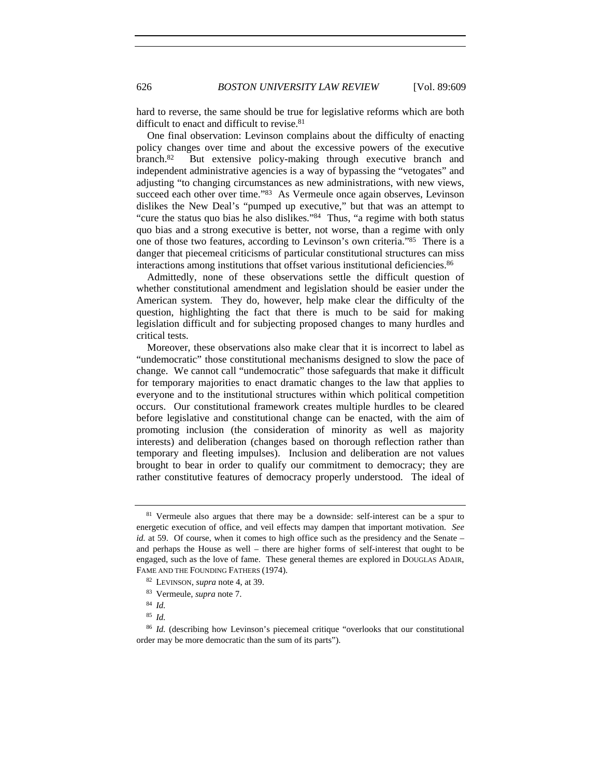hard to reverse, the same should be true for legislative reforms which are both difficult to enact and difficult to revise.<sup>81</sup>

One final observation: Levinson complains about the difficulty of enacting policy changes over time and about the excessive powers of the executive branch.82 But extensive policy-making through executive branch and independent administrative agencies is a way of bypassing the "vetogates" and adjusting "to changing circumstances as new administrations, with new views, succeed each other over time."<sup>83</sup> As Vermeule once again observes, Levinson dislikes the New Deal's "pumped up executive," but that was an attempt to "cure the status quo bias he also dislikes."84 Thus, "a regime with both status quo bias and a strong executive is better, not worse, than a regime with only one of those two features, according to Levinson's own criteria."85 There is a danger that piecemeal criticisms of particular constitutional structures can miss interactions among institutions that offset various institutional deficiencies.86

Admittedly, none of these observations settle the difficult question of whether constitutional amendment and legislation should be easier under the American system. They do, however, help make clear the difficulty of the question, highlighting the fact that there is much to be said for making legislation difficult and for subjecting proposed changes to many hurdles and critical tests.

Moreover, these observations also make clear that it is incorrect to label as "undemocratic" those constitutional mechanisms designed to slow the pace of change. We cannot call "undemocratic" those safeguards that make it difficult for temporary majorities to enact dramatic changes to the law that applies to everyone and to the institutional structures within which political competition occurs. Our constitutional framework creates multiple hurdles to be cleared before legislative and constitutional change can be enacted, with the aim of promoting inclusion (the consideration of minority as well as majority interests) and deliberation (changes based on thorough reflection rather than temporary and fleeting impulses). Inclusion and deliberation are not values brought to bear in order to qualify our commitment to democracy; they are rather constitutive features of democracy properly understood. The ideal of

<sup>&</sup>lt;sup>81</sup> Vermeule also argues that there may be a downside: self-interest can be a spur to energetic execution of office, and veil effects may dampen that important motivation. *See id.* at 59. Of course, when it comes to high office such as the presidency and the Senate – and perhaps the House as well – there are higher forms of self-interest that ought to be engaged, such as the love of fame. These general themes are explored in DOUGLAS ADAIR, FAME AND THE FOUNDING FATHERS (1974).

<sup>82</sup> LEVINSON, *supra* note 4, at 39.

<sup>83</sup> Vermeule, *supra* note 7.

<sup>84</sup> *Id.*

<sup>85</sup> *Id.*

<sup>&</sup>lt;sup>86</sup> *Id.* (describing how Levinson's piecemeal critique "overlooks that our constitutional order may be more democratic than the sum of its parts").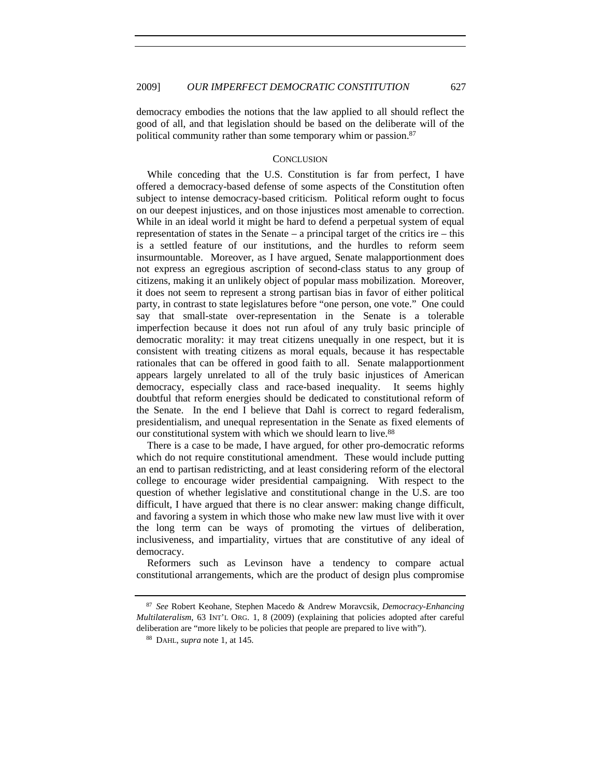democracy embodies the notions that the law applied to all should reflect the good of all, and that legislation should be based on the deliberate will of the political community rather than some temporary whim or passion.<sup>87</sup>

### **CONCLUSION**

While conceding that the U.S. Constitution is far from perfect, I have offered a democracy-based defense of some aspects of the Constitution often subject to intense democracy-based criticism. Political reform ought to focus on our deepest injustices, and on those injustices most amenable to correction. While in an ideal world it might be hard to defend a perpetual system of equal representation of states in the Senate  $-$  a principal target of the critics ire  $-$  this is a settled feature of our institutions, and the hurdles to reform seem insurmountable. Moreover, as I have argued, Senate malapportionment does not express an egregious ascription of second-class status to any group of citizens, making it an unlikely object of popular mass mobilization. Moreover, it does not seem to represent a strong partisan bias in favor of either political party, in contrast to state legislatures before "one person, one vote." One could say that small-state over-representation in the Senate is a tolerable imperfection because it does not run afoul of any truly basic principle of democratic morality: it may treat citizens unequally in one respect, but it is consistent with treating citizens as moral equals, because it has respectable rationales that can be offered in good faith to all. Senate malapportionment appears largely unrelated to all of the truly basic injustices of American democracy, especially class and race-based inequality. It seems highly doubtful that reform energies should be dedicated to constitutional reform of the Senate. In the end I believe that Dahl is correct to regard federalism, presidentialism, and unequal representation in the Senate as fixed elements of our constitutional system with which we should learn to live.<sup>88</sup>

There is a case to be made, I have argued, for other pro-democratic reforms which do not require constitutional amendment. These would include putting an end to partisan redistricting, and at least considering reform of the electoral college to encourage wider presidential campaigning. With respect to the question of whether legislative and constitutional change in the U.S. are too difficult, I have argued that there is no clear answer: making change difficult, and favoring a system in which those who make new law must live with it over the long term can be ways of promoting the virtues of deliberation, inclusiveness, and impartiality, virtues that are constitutive of any ideal of democracy.

Reformers such as Levinson have a tendency to compare actual constitutional arrangements, which are the product of design plus compromise

<sup>87</sup> *See* Robert Keohane, Stephen Macedo & Andrew Moravcsik, *Democracy-Enhancing Multilateralism*, 63 INT'L ORG. 1, 8 (2009) (explaining that policies adopted after careful deliberation are "more likely to be policies that people are prepared to live with"). 88 DAHL, *supra* note 1, at 145.